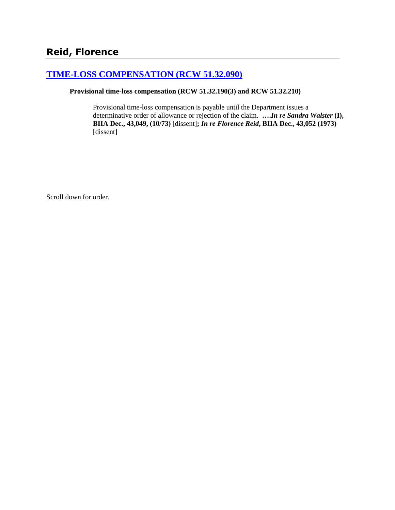# **[TIME-LOSS COMPENSATION \(RCW 51.32.090\)](http://www.biia.wa.gov/SDSubjectIndex.html#TIME_LOSS_COMPENSATION)**

#### **Provisional time-loss compensation (RCW 51.32.190(3) and RCW 51.32.210)**

Provisional time-loss compensation is payable until the Department issues a determinative order of allowance or rejection of the claim. **….***In re Sandra Walster* **(I), BIIA Dec., 43,049, (10/73)** [dissent]**;** *In re Florence Reid***, BIIA Dec., 43,052 (1973)**  [dissent]

Scroll down for order.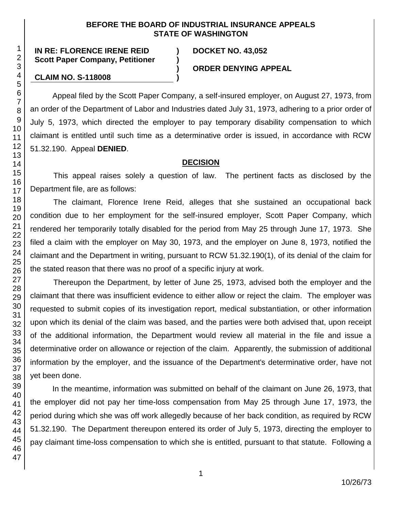#### **BEFORE THE BOARD OF INDUSTRIAL INSURANCE APPEALS STATE OF WASHINGTON**

**IN RE: FLORENCE IRENE REID ) DOCKET NO. 43,052 Scott Paper Company, Petitioner )**

## **) ORDER DENYING APPEAL**

## **CLAIM NO. S-118008 )**

Appeal filed by the Scott Paper Company, a self-insured employer, on August 27, 1973, from an order of the Department of Labor and Industries dated July 31, 1973, adhering to a prior order of July 5, 1973, which directed the employer to pay temporary disability compensation to which claimant is entitled until such time as a determinative order is issued, in accordance with RCW 51.32.190. Appeal **DENIED**.

### **DECISION**

This appeal raises solely a question of law. The pertinent facts as disclosed by the Department file, are as follows:

The claimant, Florence Irene Reid, alleges that she sustained an occupational back condition due to her employment for the self-insured employer, Scott Paper Company, which rendered her temporarily totally disabled for the period from May 25 through June 17, 1973. She filed a claim with the employer on May 30, 1973, and the employer on June 8, 1973, notified the claimant and the Department in writing, pursuant to RCW 51.32.190(1), of its denial of the claim for the stated reason that there was no proof of a specific injury at work.

Thereupon the Department, by letter of June 25, 1973, advised both the employer and the claimant that there was insufficient evidence to either allow or reject the claim. The employer was requested to submit copies of its investigation report, medical substantiation, or other information upon which its denial of the claim was based, and the parties were both advised that, upon receipt of the additional information, the Department would review all material in the file and issue a determinative order on allowance or rejection of the claim. Apparently, the submission of additional information by the employer, and the issuance of the Department's determinative order, have not yet been done.

In the meantime, information was submitted on behalf of the claimant on June 26, 1973, that the employer did not pay her time-loss compensation from May 25 through June 17, 1973, the period during which she was off work allegedly because of her back condition, as required by RCW 51.32.190. The Department thereupon entered its order of July 5, 1973, directing the employer to pay claimant time-loss compensation to which she is entitled, pursuant to that statute. Following a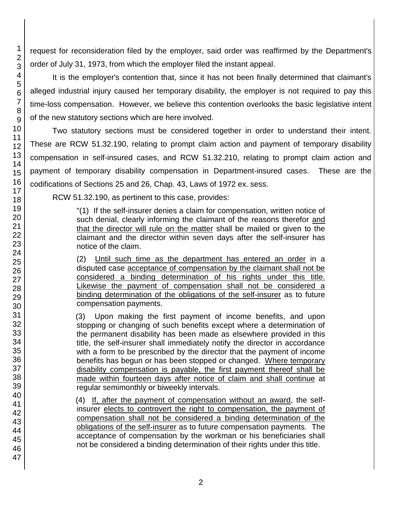request for reconsideration filed by the employer, said order was reaffirmed by the Department's order of July 31, 1973, from which the employer filed the instant appeal.

It is the employer's contention that, since it has not been finally determined that claimant's alleged industrial injury caused her temporary disability, the employer is not required to pay this time-loss compensation. However, we believe this contention overlooks the basic legislative intent of the new statutory sections which are here involved.

Two statutory sections must be considered together in order to understand their intent. These are RCW 51.32.190, relating to prompt claim action and payment of temporary disability compensation in self-insured cases, and RCW 51.32.210, relating to prompt claim action and payment of temporary disability compensation in Department-insured cases. These are the codifications of Sections 25 and 26, Chap. 43, Laws of 1972 ex. sess.

RCW 51.32.190, as pertinent to this case, provides:

"(1) If the self-insurer denies a claim for compensation, written notice of such denial, clearly informing the claimant of the reasons therefor and that the director will rule on the matter shall be mailed or given to the claimant and the director within seven days after the self-insurer has notice of the claim.

(2) Until such time as the department has entered an order in a disputed case acceptance of compensation by the claimant shall not be considered a binding determination of his rights under this title. Likewise the payment of compensation shall not be considered a binding determination of the obligations of the self-insurer as to future compensation payments.

(3) Upon making the first payment of income benefits, and upon stopping or changing of such benefits except where a determination of the permanent disability has been made as elsewhere provided in this title, the self-insurer shall immediately notify the director in accordance with a form to be prescribed by the director that the payment of income benefits has begun or has been stopped or changed. Where temporary disability compensation is payable, the first payment thereof shall be made within fourteen days after notice of claim and shall continue at regular semimonthly or biweekly intervals.

(4) If, after the payment of compensation without an award, the selfinsurer elects to controvert the right to compensation, the payment of compensation shall not be considered a binding determination of the obligations of the self-insurer as to future compensation payments. The acceptance of compensation by the workman or his beneficiaries shall not be considered a binding determination of their rights under this title.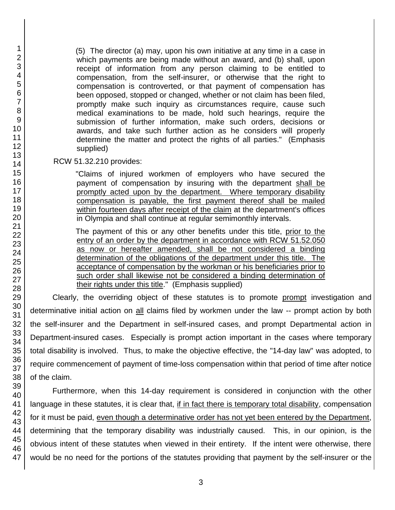(5) The director (a) may, upon his own initiative at any time in a case in which payments are being made without an award, and (b) shall, upon receipt of information from any person claiming to be entitled to compensation, from the self-insurer, or otherwise that the right to compensation is controverted, or that payment of compensation has been opposed, stopped or changed, whether or not claim has been filed, promptly make such inquiry as circumstances require, cause such medical examinations to be made, hold such hearings, require the submission of further information, make such orders, decisions or awards, and take such further action as he considers will properly determine the matter and protect the rights of all parties." (Emphasis supplied)

RCW 51.32.210 provides:

"Claims of injured workmen of employers who have secured the payment of compensation by insuring with the department shall be promptly acted upon by the department. Where temporary disability compensation is payable, the first payment thereof shall be mailed within fourteen days after receipt of the claim at the department's offices in Olympia and shall continue at regular semimonthly intervals.

The payment of this or any other benefits under this title, prior to the entry of an order by the department in accordance with RCW 51.52.050 as now or hereafter amended, shall be not considered a binding determination of the obligations of the department under this title. The acceptance of compensation by the workman or his beneficiaries prior to such order shall likewise not be considered a binding determination of their rights under this title." (Emphasis supplied)

Clearly, the overriding object of these statutes is to promote prompt investigation and determinative initial action on all claims filed by workmen under the law -- prompt action by both the self-insurer and the Department in self-insured cases, and prompt Departmental action in Department-insured cases. Especially is prompt action important in the cases where temporary total disability is involved. Thus, to make the objective effective, the "14-day law" was adopted, to require commencement of payment of time-loss compensation within that period of time after notice of the claim.

Furthermore, when this 14-day requirement is considered in conjunction with the other language in these statutes, it is clear that, if in fact there is temporary total disability, compensation for it must be paid, even though a determinative order has not yet been entered by the Department, determining that the temporary disability was industrially caused. This, in our opinion, is the obvious intent of these statutes when viewed in their entirety. If the intent were otherwise, there would be no need for the portions of the statutes providing that payment by the self-insurer or the

1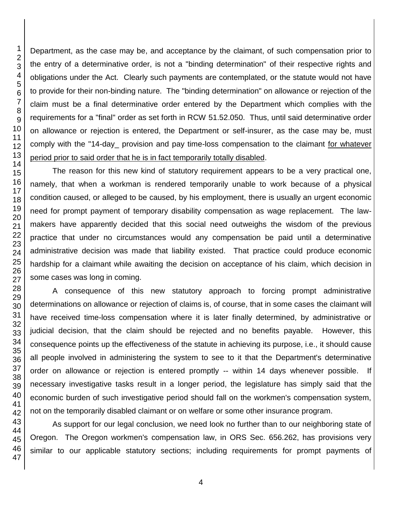Department, as the case may be, and acceptance by the claimant, of such compensation prior to the entry of a determinative order, is not a "binding determination" of their respective rights and obligations under the Act. Clearly such payments are contemplated, or the statute would not have to provide for their non-binding nature. The "binding determination" on allowance or rejection of the claim must be a final determinative order entered by the Department which complies with the requirements for a "final" order as set forth in RCW 51.52.050. Thus, until said determinative order on allowance or rejection is entered, the Department or self-insurer, as the case may be, must comply with the "14-day\_ provision and pay time-loss compensation to the claimant for whatever period prior to said order that he is in fact temporarily totally disabled.

The reason for this new kind of statutory requirement appears to be a very practical one, namely, that when a workman is rendered temporarily unable to work because of a physical condition caused, or alleged to be caused, by his employment, there is usually an urgent economic need for prompt payment of temporary disability compensation as wage replacement. The lawmakers have apparently decided that this social need outweighs the wisdom of the previous practice that under no circumstances would any compensation be paid until a determinative administrative decision was made that liability existed. That practice could produce economic hardship for a claimant while awaiting the decision on acceptance of his claim, which decision in some cases was long in coming.

A consequence of this new statutory approach to forcing prompt administrative determinations on allowance or rejection of claims is, of course, that in some cases the claimant will have received time-loss compensation where it is later finally determined, by administrative or judicial decision, that the claim should be rejected and no benefits payable. However, this consequence points up the effectiveness of the statute in achieving its purpose, i.e., it should cause all people involved in administering the system to see to it that the Department's determinative order on allowance or rejection is entered promptly -- within 14 days whenever possible. If necessary investigative tasks result in a longer period, the legislature has simply said that the economic burden of such investigative period should fall on the workmen's compensation system, not on the temporarily disabled claimant or on welfare or some other insurance program.

As support for our legal conclusion, we need look no further than to our neighboring state of Oregon. The Oregon workmen's compensation law, in ORS Sec. 656.262, has provisions very similar to our applicable statutory sections; including requirements for prompt payments of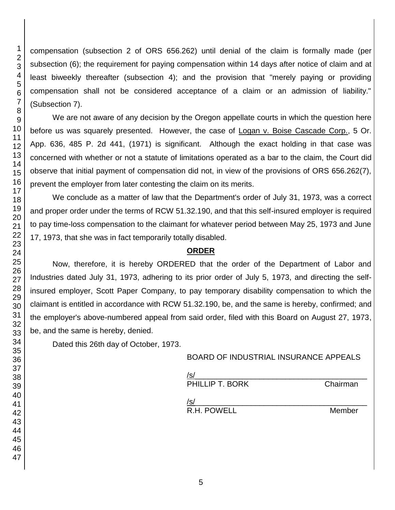compensation (subsection 2 of ORS 656.262) until denial of the claim is formally made (per subsection (6); the requirement for paying compensation within 14 days after notice of claim and at least biweekly thereafter (subsection 4); and the provision that "merely paying or providing compensation shall not be considered acceptance of a claim or an admission of liability." (Subsection 7).

We are not aware of any decision by the Oregon appellate courts in which the question here before us was squarely presented. However, the case of Logan v. Boise Cascade Corp., 5 Or. App. 636, 485 P. 2d 441, (1971) is significant. Although the exact holding in that case was concerned with whether or not a statute of limitations operated as a bar to the claim, the Court did observe that initial payment of compensation did not, in view of the provisions of ORS 656.262(7), prevent the employer from later contesting the claim on its merits.

We conclude as a matter of law that the Department's order of July 31, 1973, was a correct and proper order under the terms of RCW 51.32.190, and that this self-insured employer is required to pay time-loss compensation to the claimant for whatever period between May 25, 1973 and June 17, 1973, that she was in fact temporarily totally disabled.

## **ORDER**

Now, therefore, it is hereby ORDERED that the order of the Department of Labor and Industries dated July 31, 1973, adhering to its prior order of July 5, 1973, and directing the selfinsured employer, Scott Paper Company, to pay temporary disability compensation to which the claimant is entitled in accordance with RCW 51.32.190, be, and the same is hereby, confirmed; and the employer's above-numbered appeal from said order, filed with this Board on August 27, 1973, be, and the same is hereby, denied.

Dated this 26th day of October, 1973.

# BOARD OF INDUSTRIAL INSURANCE APPEALS

| /s/             |          |
|-----------------|----------|
| PHILLIP T. BORK | Chairman |
| /s/             |          |

R.H. POWELL Member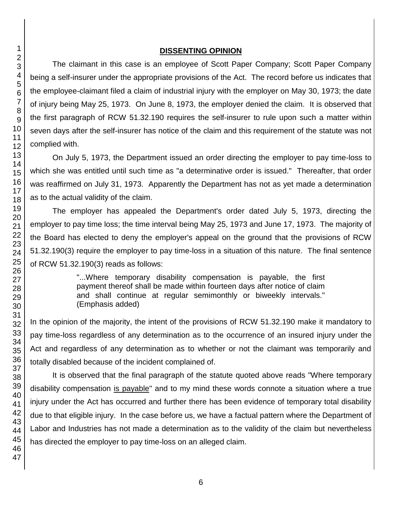#### **DISSENTING OPINION**

The claimant in this case is an employee of Scott Paper Company; Scott Paper Company being a self-insurer under the appropriate provisions of the Act. The record before us indicates that the employee-claimant filed a claim of industrial injury with the employer on May 30, 1973; the date of injury being May 25, 1973. On June 8, 1973, the employer denied the claim. It is observed that the first paragraph of RCW 51.32.190 requires the self-insurer to rule upon such a matter within seven days after the self-insurer has notice of the claim and this requirement of the statute was not complied with.

On July 5, 1973, the Department issued an order directing the employer to pay time-loss to which she was entitled until such time as "a determinative order is issued." Thereafter, that order was reaffirmed on July 31, 1973. Apparently the Department has not as yet made a determination as to the actual validity of the claim.

The employer has appealed the Department's order dated July 5, 1973, directing the employer to pay time loss; the time interval being May 25, 1973 and June 17, 1973. The majority of the Board has elected to deny the employer's appeal on the ground that the provisions of RCW 51.32.190(3) require the employer to pay time-loss in a situation of this nature. The final sentence of RCW 51.32.190(3) reads as follows:

> "...Where temporary disability compensation is payable, the first payment thereof shall be made within fourteen days after notice of claim and shall continue at regular semimonthly or biweekly intervals." (Emphasis added)

In the opinion of the majority, the intent of the provisions of RCW 51.32.190 make it mandatory to pay time-loss regardless of any determination as to the occurrence of an insured injury under the Act and regardless of any determination as to whether or not the claimant was temporarily and totally disabled because of the incident complained of.

It is observed that the final paragraph of the statute quoted above reads "Where temporary disability compensation is payable" and to my mind these words connote a situation where a true injury under the Act has occurred and further there has been evidence of temporary total disability due to that eligible injury. In the case before us, we have a factual pattern where the Department of Labor and Industries has not made a determination as to the validity of the claim but nevertheless has directed the employer to pay time-loss on an alleged claim.